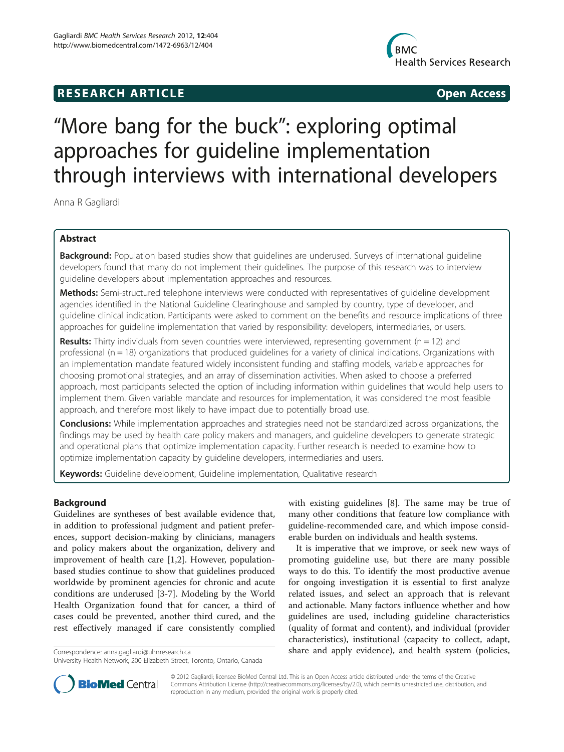## **RESEARCH ARTICLE Example 2014 CONSIDERING CONSIDERING CONSIDERING CONSIDERING CONSIDERING CONSIDERING CONSIDERING CONSIDERING CONSIDERING CONSIDERING CONSIDERING CONSIDERING CONSIDERING CONSIDERING CONSIDERING CONSIDE**



# "More bang for the buck": exploring optimal approaches for guideline implementation through interviews with international developers

Anna R Gagliardi

## Abstract

Background: Population based studies show that guidelines are underused. Surveys of international guideline developers found that many do not implement their guidelines. The purpose of this research was to interview guideline developers about implementation approaches and resources.

Methods: Semi-structured telephone interviews were conducted with representatives of quideline development agencies identified in the National Guideline Clearinghouse and sampled by country, type of developer, and guideline clinical indication. Participants were asked to comment on the benefits and resource implications of three approaches for guideline implementation that varied by responsibility: developers, intermediaries, or users.

**Results:** Thirty individuals from seven countries were interviewed, representing government ( $n = 12$ ) and professional  $(n = 18)$  organizations that produced guidelines for a variety of clinical indications. Organizations with an implementation mandate featured widely inconsistent funding and staffing models, variable approaches for choosing promotional strategies, and an array of dissemination activities. When asked to choose a preferred approach, most participants selected the option of including information within guidelines that would help users to implement them. Given variable mandate and resources for implementation, it was considered the most feasible approach, and therefore most likely to have impact due to potentially broad use.

**Conclusions:** While implementation approaches and strategies need not be standardized across organizations, the findings may be used by health care policy makers and managers, and guideline developers to generate strategic and operational plans that optimize implementation capacity. Further research is needed to examine how to optimize implementation capacity by guideline developers, intermediaries and users.

Keywords: Guideline development, Guideline implementation, Qualitative research

## Background

Guidelines are syntheses of best available evidence that, in addition to professional judgment and patient preferences, support decision-making by clinicians, managers and policy makers about the organization, delivery and improvement of health care [[1,2\]](#page-8-0). However, populationbased studies continue to show that guidelines produced worldwide by prominent agencies for chronic and acute conditions are underused [[3-7](#page-8-0)]. Modeling by the World Health Organization found that for cancer, a third of cases could be prevented, another third cured, and the rest effectively managed if care consistently complied

with existing guidelines [\[8](#page-8-0)]. The same may be true of many other conditions that feature low compliance with guideline-recommended care, and which impose considerable burden on individuals and health systems.

It is imperative that we improve, or seek new ways of promoting guideline use, but there are many possible ways to do this. To identify the most productive avenue for ongoing investigation it is essential to first analyze related issues, and select an approach that is relevant and actionable. Many factors influence whether and how guidelines are used, including guideline characteristics (quality of format and content), and individual (provider characteristics), institutional (capacity to collect, adapt, Correspondence: [anna.gagliardi@uhnresearch.ca](mailto:anna.gagliardi@uhnresearch.ca) share and apply evidence), and health system (policies,



© 2012 Gagliardi; licensee BioMed Central Ltd. This is an Open Access article distributed under the terms of the Creative Commons Attribution License [\(http://creativecommons.org/licenses/by/2.0\)](http://creativecommons.org/licenses/by/2.0), which permits unrestricted use, distribution, and reproduction in any medium, provided the original work is properly cited.

University Health Network, 200 Elizabeth Street, Toronto, Ontario, Canada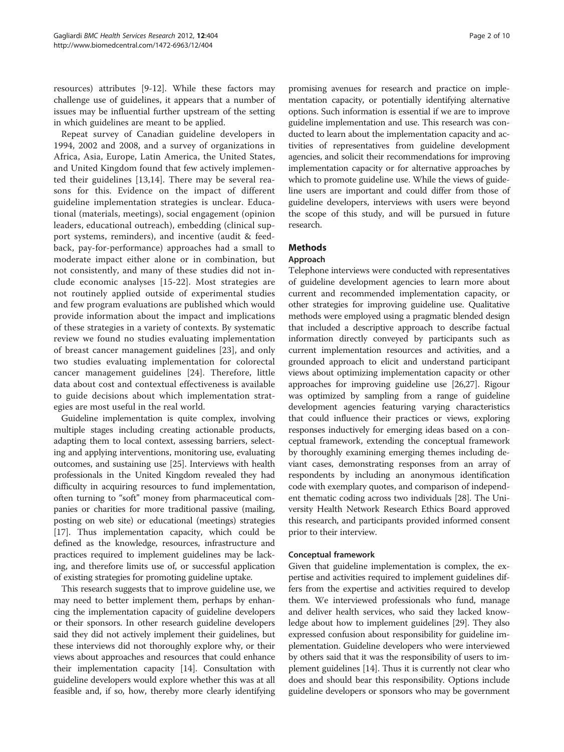resources) attributes [\[9](#page-8-0)-[12\]](#page-9-0). While these factors may challenge use of guidelines, it appears that a number of issues may be influential further upstream of the setting in which guidelines are meant to be applied.

Repeat survey of Canadian guideline developers in 1994, 2002 and 2008, and a survey of organizations in Africa, Asia, Europe, Latin America, the United States, and United Kingdom found that few actively implemented their guidelines [\[13](#page-9-0),[14\]](#page-9-0). There may be several reasons for this. Evidence on the impact of different guideline implementation strategies is unclear. Educational (materials, meetings), social engagement (opinion leaders, educational outreach), embedding (clinical support systems, reminders), and incentive (audit & feedback, pay-for-performance) approaches had a small to moderate impact either alone or in combination, but not consistently, and many of these studies did not include economic analyses [\[15](#page-9-0)-[22](#page-9-0)]. Most strategies are not routinely applied outside of experimental studies and few program evaluations are published which would provide information about the impact and implications of these strategies in a variety of contexts. By systematic review we found no studies evaluating implementation of breast cancer management guidelines [[23\]](#page-9-0), and only two studies evaluating implementation for colorectal cancer management guidelines [[24\]](#page-9-0). Therefore, little data about cost and contextual effectiveness is available to guide decisions about which implementation strategies are most useful in the real world.

Guideline implementation is quite complex, involving multiple stages including creating actionable products, adapting them to local context, assessing barriers, selecting and applying interventions, monitoring use, evaluating outcomes, and sustaining use [\[25\]](#page-9-0). Interviews with health professionals in the United Kingdom revealed they had difficulty in acquiring resources to fund implementation, often turning to "soft" money from pharmaceutical companies or charities for more traditional passive (mailing, posting on web site) or educational (meetings) strategies [[17](#page-9-0)]. Thus implementation capacity, which could be defined as the knowledge, resources, infrastructure and practices required to implement guidelines may be lacking, and therefore limits use of, or successful application of existing strategies for promoting guideline uptake.

This research suggests that to improve guideline use, we may need to better implement them, perhaps by enhancing the implementation capacity of guideline developers or their sponsors. In other research guideline developers said they did not actively implement their guidelines, but these interviews did not thoroughly explore why, or their views about approaches and resources that could enhance their implementation capacity [[14](#page-9-0)]. Consultation with guideline developers would explore whether this was at all feasible and, if so, how, thereby more clearly identifying

promising avenues for research and practice on implementation capacity, or potentially identifying alternative options. Such information is essential if we are to improve guideline implementation and use. This research was conducted to learn about the implementation capacity and activities of representatives from guideline development agencies, and solicit their recommendations for improving implementation capacity or for alternative approaches by which to promote guideline use. While the views of guideline users are important and could differ from those of guideline developers, interviews with users were beyond the scope of this study, and will be pursued in future research.

## Methods

## Approach

Telephone interviews were conducted with representatives of guideline development agencies to learn more about current and recommended implementation capacity, or other strategies for improving guideline use. Qualitative methods were employed using a pragmatic blended design that included a descriptive approach to describe factual information directly conveyed by participants such as current implementation resources and activities, and a grounded approach to elicit and understand participant views about optimizing implementation capacity or other approaches for improving guideline use [\[26,27](#page-9-0)]. Rigour was optimized by sampling from a range of guideline development agencies featuring varying characteristics that could influence their practices or views, exploring responses inductively for emerging ideas based on a conceptual framework, extending the conceptual framework by thoroughly examining emerging themes including deviant cases, demonstrating responses from an array of respondents by including an anonymous identification code with exemplary quotes, and comparison of independent thematic coding across two individuals [\[28\]](#page-9-0). The University Health Network Research Ethics Board approved this research, and participants provided informed consent prior to their interview.

#### Conceptual framework

Given that guideline implementation is complex, the expertise and activities required to implement guidelines differs from the expertise and activities required to develop them. We interviewed professionals who fund, manage and deliver health services, who said they lacked knowledge about how to implement guidelines [\[29\]](#page-9-0). They also expressed confusion about responsibility for guideline implementation. Guideline developers who were interviewed by others said that it was the responsibility of users to implement guidelines [\[14\]](#page-9-0). Thus it is currently not clear who does and should bear this responsibility. Options include guideline developers or sponsors who may be government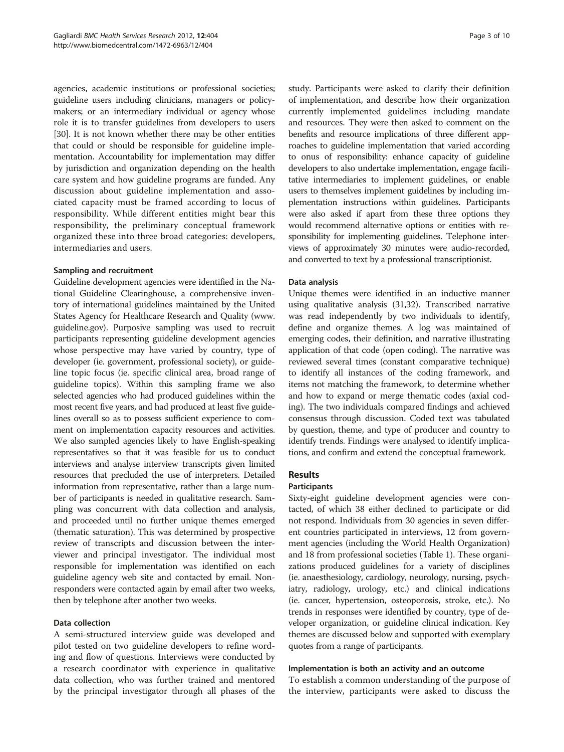agencies, academic institutions or professional societies; guideline users including clinicians, managers or policymakers; or an intermediary individual or agency whose role it is to transfer guidelines from developers to users [[30](#page-9-0)]. It is not known whether there may be other entities that could or should be responsible for guideline implementation. Accountability for implementation may differ by jurisdiction and organization depending on the health care system and how guideline programs are funded. Any discussion about guideline implementation and associated capacity must be framed according to locus of responsibility. While different entities might bear this responsibility, the preliminary conceptual framework organized these into three broad categories: developers, intermediaries and users.

#### Sampling and recruitment

Guideline development agencies were identified in the National Guideline Clearinghouse, a comprehensive inventory of international guidelines maintained by the United States Agency for Healthcare Research and Quality [\(www.](http://www.guideline.gov) [guideline.gov\)](http://www.guideline.gov). Purposive sampling was used to recruit participants representing guideline development agencies whose perspective may have varied by country, type of developer (ie. government, professional society), or guideline topic focus (ie. specific clinical area, broad range of guideline topics). Within this sampling frame we also selected agencies who had produced guidelines within the most recent five years, and had produced at least five guidelines overall so as to possess sufficient experience to comment on implementation capacity resources and activities. We also sampled agencies likely to have English-speaking representatives so that it was feasible for us to conduct interviews and analyse interview transcripts given limited resources that precluded the use of interpreters. Detailed information from representative, rather than a large number of participants is needed in qualitative research. Sampling was concurrent with data collection and analysis, and proceeded until no further unique themes emerged (thematic saturation). This was determined by prospective review of transcripts and discussion between the interviewer and principal investigator. The individual most responsible for implementation was identified on each guideline agency web site and contacted by email. Nonresponders were contacted again by email after two weeks, then by telephone after another two weeks.

#### Data collection

A semi-structured interview guide was developed and pilot tested on two guideline developers to refine wording and flow of questions. Interviews were conducted by a research coordinator with experience in qualitative data collection, who was further trained and mentored by the principal investigator through all phases of the study. Participants were asked to clarify their definition of implementation, and describe how their organization currently implemented guidelines including mandate and resources. They were then asked to comment on the benefits and resource implications of three different approaches to guideline implementation that varied according to onus of responsibility: enhance capacity of guideline developers to also undertake implementation, engage facilitative intermediaries to implement guidelines, or enable users to themselves implement guidelines by including implementation instructions within guidelines. Participants were also asked if apart from these three options they would recommend alternative options or entities with responsibility for implementing guidelines. Telephone interviews of approximately 30 minutes were audio-recorded, and converted to text by a professional transcriptionist.

#### Data analysis

Unique themes were identified in an inductive manner using qualitative analysis (31,32). Transcribed narrative was read independently by two individuals to identify, define and organize themes. A log was maintained of emerging codes, their definition, and narrative illustrating application of that code (open coding). The narrative was reviewed several times (constant comparative technique) to identify all instances of the coding framework, and items not matching the framework, to determine whether and how to expand or merge thematic codes (axial coding). The two individuals compared findings and achieved consensus through discussion. Coded text was tabulated by question, theme, and type of producer and country to identify trends. Findings were analysed to identify implications, and confirm and extend the conceptual framework.

#### Results

#### **Participants**

Sixty-eight guideline development agencies were contacted, of which 38 either declined to participate or did not respond. Individuals from 30 agencies in seven different countries participated in interviews, 12 from government agencies (including the World Health Organization) and 18 from professional societies (Table [1](#page-3-0)). These organizations produced guidelines for a variety of disciplines (ie. anaesthesiology, cardiology, neurology, nursing, psychiatry, radiology, urology, etc.) and clinical indications (ie. cancer, hypertension, osteoporosis, stroke, etc.). No trends in responses were identified by country, type of developer organization, or guideline clinical indication. Key themes are discussed below and supported with exemplary quotes from a range of participants.

#### Implementation is both an activity and an outcome

To establish a common understanding of the purpose of the interview, participants were asked to discuss the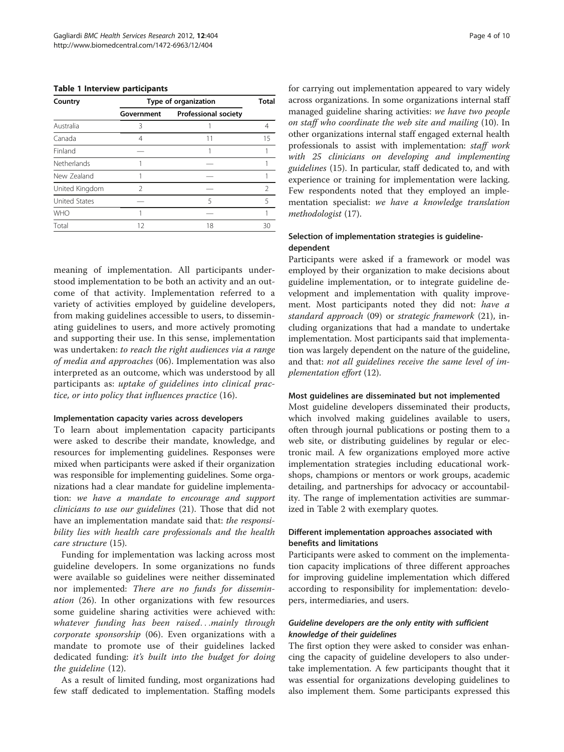#### <span id="page-3-0"></span>Table 1 Interview participants

| Country              | Type of organization | <b>Total</b>                |                |
|----------------------|----------------------|-----------------------------|----------------|
|                      | Government           | <b>Professional society</b> |                |
| Australia            | 3                    |                             | 4              |
| Canada               | 4                    | 11                          | 15             |
| Finland              |                      |                             |                |
| Netherlands          |                      |                             |                |
| New Zealand          |                      |                             |                |
| United Kingdom       | 2                    |                             | $\mathfrak{D}$ |
| <b>United States</b> |                      | 5                           | 5              |
| <b>WHO</b>           |                      |                             |                |
| Total                | 12                   | 18                          | 30             |

meaning of implementation. All participants understood implementation to be both an activity and an outcome of that activity. Implementation referred to a variety of activities employed by guideline developers, from making guidelines accessible to users, to disseminating guidelines to users, and more actively promoting and supporting their use. In this sense, implementation was undertaken: to reach the right audiences via a range of media and approaches (06). Implementation was also interpreted as an outcome, which was understood by all participants as: uptake of guidelines into clinical practice, or into policy that influences practice (16).

#### Implementation capacity varies across developers

To learn about implementation capacity participants were asked to describe their mandate, knowledge, and resources for implementing guidelines. Responses were mixed when participants were asked if their organization was responsible for implementing guidelines. Some organizations had a clear mandate for guideline implementation: we have a mandate to encourage and support clinicians to use our guidelines (21). Those that did not have an implementation mandate said that: the responsibility lies with health care professionals and the health care structure (15).

Funding for implementation was lacking across most guideline developers. In some organizations no funds were available so guidelines were neither disseminated nor implemented: There are no funds for dissemination (26). In other organizations with few resources some guideline sharing activities were achieved with: whatever funding has been raised...mainly through corporate sponsorship (06). Even organizations with a mandate to promote use of their guidelines lacked dedicated funding: it's built into the budget for doing the guideline (12).

As a result of limited funding, most organizations had few staff dedicated to implementation. Staffing models for carrying out implementation appeared to vary widely across organizations. In some organizations internal staff managed guideline sharing activities: we have two people on staff who coordinate the web site and mailing (10). In other organizations internal staff engaged external health professionals to assist with implementation: staff work with 25 clinicians on developing and implementing guidelines (15). In particular, staff dedicated to, and with experience or training for implementation were lacking. Few respondents noted that they employed an implementation specialist: we have a knowledge translation methodologist (17).

#### Selection of implementation strategies is guidelinedependent

Participants were asked if a framework or model was employed by their organization to make decisions about guideline implementation, or to integrate guideline development and implementation with quality improvement. Most participants noted they did not: have a standard approach (09) or strategic framework (21), including organizations that had a mandate to undertake implementation. Most participants said that implementation was largely dependent on the nature of the guideline, and that: not all guidelines receive the same level of implementation effort (12).

#### Most guidelines are disseminated but not implemented

Most guideline developers disseminated their products, which involved making guidelines available to users, often through journal publications or posting them to a web site, or distributing guidelines by regular or electronic mail. A few organizations employed more active implementation strategies including educational workshops, champions or mentors or work groups, academic detailing, and partnerships for advocacy or accountability. The range of implementation activities are summarized in Table [2](#page-4-0) with exemplary quotes.

#### Different implementation approaches associated with benefits and limitations

Participants were asked to comment on the implementation capacity implications of three different approaches for improving guideline implementation which differed according to responsibility for implementation: developers, intermediaries, and users.

## Guideline developers are the only entity with sufficient knowledge of their guidelines

The first option they were asked to consider was enhancing the capacity of guideline developers to also undertake implementation. A few participants thought that it was essential for organizations developing guidelines to also implement them. Some participants expressed this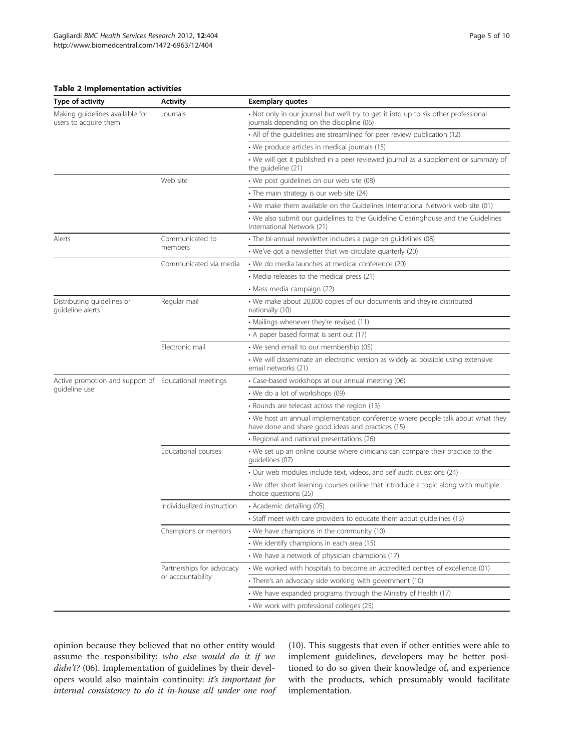#### <span id="page-4-0"></span>Table 2 Implementation activities

| Type of activity                                         | <b>Activity</b>                                | <b>Exemplary quotes</b>                                                                                                              |
|----------------------------------------------------------|------------------------------------------------|--------------------------------------------------------------------------------------------------------------------------------------|
| Making guidelines available for<br>users to acquire them | Journals                                       | • Not only in our journal but we'll try to get it into up to six other professional<br>journals depending on the discipline (06)     |
|                                                          |                                                | • All of the guidelines are streamlined for peer review publication (12)                                                             |
|                                                          |                                                | • We produce articles in medical journals (15)                                                                                       |
|                                                          |                                                | • We will get it published in a peer reviewed journal as a supplement or summary of<br>the quideline (21)                            |
|                                                          | Web site                                       | • We post guidelines on our web site (08)                                                                                            |
|                                                          |                                                | · The main strategy is our web site (24)                                                                                             |
|                                                          |                                                | • We make them available on the Guidelines International Network web site (01)                                                       |
|                                                          |                                                | • We also submit our guidelines to the Guideline Clearinghouse and the Guidelines<br>International Network (21)                      |
| Alerts                                                   | Communicated to<br>members                     | · The bi-annual newsletter includes a page on guidelines (08)                                                                        |
|                                                          |                                                | • We've got a newsletter that we circulate quarterly (20)                                                                            |
|                                                          | Communicated via media                         | • We do media launches at medical conference (20)                                                                                    |
|                                                          |                                                | • Media releases to the medical press (21)                                                                                           |
|                                                          |                                                | · Mass media campaign (22)                                                                                                           |
| Distributing guidelines or<br>quideline alerts           | Regular mail                                   | • We make about 20,000 copies of our documents and they're distributed<br>nationally (10)                                            |
|                                                          |                                                | • Mailings whenever they're revised (11)                                                                                             |
|                                                          |                                                | • A paper based format is sent out (17)                                                                                              |
|                                                          | Electronic mail                                | • We send email to our membership (05)                                                                                               |
|                                                          |                                                | • We will disseminate an electronic version as widely as possible using extensive<br>email networks (21)                             |
| Active promotion and support of Educational meetings     |                                                | • Case-based workshops at our annual meeting (06)                                                                                    |
| quideline use                                            |                                                | • We do a lot of workshops (09)                                                                                                      |
|                                                          |                                                | • Rounds are telecast across the region (13)                                                                                         |
|                                                          |                                                | • We host an annual implementation conference where people talk about what they<br>have done and share good ideas and practices (15) |
|                                                          |                                                | · Regional and national presentations (26)                                                                                           |
|                                                          | Educational courses                            | • We set up an online course where clinicians can compare their practice to the<br>quidelines (07)                                   |
|                                                          |                                                | • Our web modules include text, videos, and self audit questions (24)                                                                |
|                                                          |                                                | • We offer short learning courses online that introduce a topic along with multiple<br>choice questions (25)                         |
|                                                          | Individualized instruction                     | · Academic detailing (05)                                                                                                            |
|                                                          |                                                | • Staff meet with care providers to educate them about guidelines (13)                                                               |
|                                                          | Champions or mentors                           | • We have champions in the community (10)                                                                                            |
|                                                          |                                                | • We identify champions in each area (15)                                                                                            |
|                                                          |                                                | • We have a network of physician champions (17)                                                                                      |
|                                                          | Partnerships for advocacy<br>or accountability | • We worked with hospitals to become an accredited centres of excellence (01)                                                        |
|                                                          |                                                | · There's an advocacy side working with government (10)                                                                              |
|                                                          |                                                | • We have expanded programs through the Ministry of Health (17)                                                                      |
|                                                          |                                                | • We work with professional colleges (25)                                                                                            |

opinion because they believed that no other entity would assume the responsibility: who else would do it if we didn't? (06). Implementation of guidelines by their developers would also maintain continuity: it's important for internal consistency to do it in-house all under one roof (10). This suggests that even if other entities were able to implement guidelines, developers may be better positioned to do so given their knowledge of, and experience with the products, which presumably would facilitate implementation.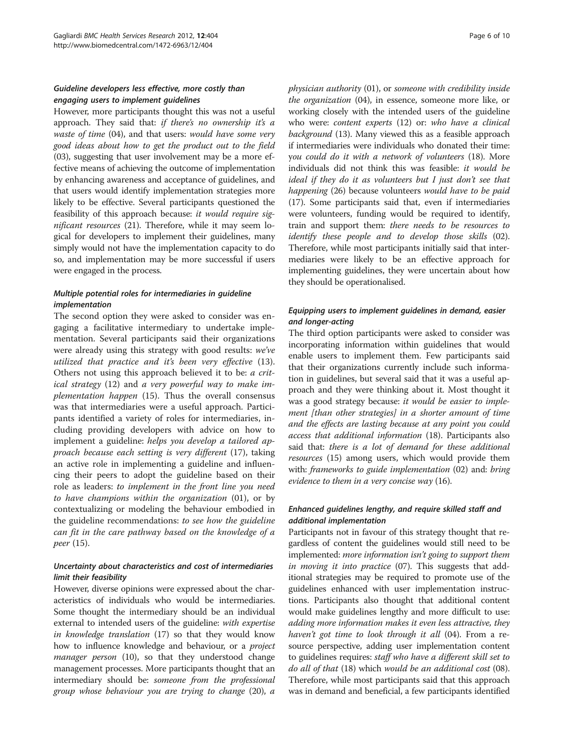## Guideline developers less effective, more costly than engaging users to implement guidelines

However, more participants thought this was not a useful approach. They said that: if there's no ownership it's a waste of time (04), and that users: would have some very good ideas about how to get the product out to the field (03), suggesting that user involvement may be a more effective means of achieving the outcome of implementation by enhancing awareness and acceptance of guidelines, and that users would identify implementation strategies more likely to be effective. Several participants questioned the feasibility of this approach because: it would require significant resources (21). Therefore, while it may seem logical for developers to implement their guidelines, many simply would not have the implementation capacity to do so, and implementation may be more successful if users were engaged in the process.

#### Multiple potential roles for intermediaries in guideline implementation

The second option they were asked to consider was engaging a facilitative intermediary to undertake implementation. Several participants said their organizations were already using this strategy with good results: we've utilized that practice and it's been very effective (13). Others not using this approach believed it to be: a critical strategy (12) and a very powerful way to make implementation happen (15). Thus the overall consensus was that intermediaries were a useful approach. Participants identified a variety of roles for intermediaries, including providing developers with advice on how to implement a guideline: helps you develop a tailored approach because each setting is very different (17), taking an active role in implementing a guideline and influencing their peers to adopt the guideline based on their role as leaders: to implement in the front line you need to have champions within the organization (01), or by contextualizing or modeling the behaviour embodied in the guideline recommendations: to see how the guideline can fit in the care pathway based on the knowledge of a peer (15).

## Uncertainty about characteristics and cost of intermediaries limit their feasibility

However, diverse opinions were expressed about the characteristics of individuals who would be intermediaries. Some thought the intermediary should be an individual external to intended users of the guideline: with expertise in knowledge translation (17) so that they would know how to influence knowledge and behaviour, or a *project* manager person (10), so that they understood change management processes. More participants thought that an intermediary should be: someone from the professional group whose behaviour you are trying to change (20), a physician authority (01), or someone with credibility inside the organization (04), in essence, someone more like, or working closely with the intended users of the guideline who were: content experts (12) or: who have a clinical background (13). Many viewed this as a feasible approach if intermediaries were individuals who donated their time: you could do it with a network of volunteers (18). More individuals did not think this was feasible: it would be ideal if they do it as volunteers but I just don't see that happening (26) because volunteers would have to be paid (17). Some participants said that, even if intermediaries were volunteers, funding would be required to identify, train and support them: there needs to be resources to identify these people and to develop those skills (02). Therefore, while most participants initially said that intermediaries were likely to be an effective approach for implementing guidelines, they were uncertain about how they should be operationalised.

## Equipping users to implement guidelines in demand, easier and longer-acting

The third option participants were asked to consider was incorporating information within guidelines that would enable users to implement them. Few participants said that their organizations currently include such information in guidelines, but several said that it was a useful approach and they were thinking about it. Most thought it was a good strategy because: it would be easier to implement [than other strategies] in a shorter amount of time and the effects are lasting because at any point you could access that additional information (18). Participants also said that: there is a lot of demand for these additional resources (15) among users, which would provide them with: frameworks to guide implementation (02) and: bring evidence to them in a very concise way (16).

## Enhanced guidelines lengthy, and require skilled staff and additional implementation

Participants not in favour of this strategy thought that regardless of content the guidelines would still need to be implemented: more information isn't going to support them in moving it into practice (07). This suggests that additional strategies may be required to promote use of the guidelines enhanced with user implementation instructions. Participants also thought that additional content would make guidelines lengthy and more difficult to use: adding more information makes it even less attractive, they haven't got time to look through it all (04). From a resource perspective, adding user implementation content to guidelines requires: staff who have a different skill set to do all of that (18) which would be an additional cost (08). Therefore, while most participants said that this approach was in demand and beneficial, a few participants identified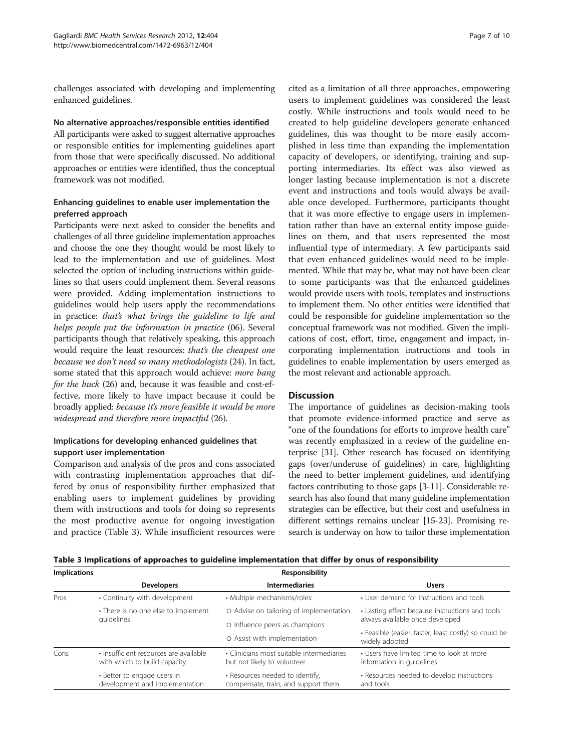challenges associated with developing and implementing enhanced guidelines.

#### No alternative approaches/responsible entities identified

All participants were asked to suggest alternative approaches or responsible entities for implementing guidelines apart from those that were specifically discussed. No additional approaches or entities were identified, thus the conceptual framework was not modified.

## Enhancing guidelines to enable user implementation the preferred approach

Participants were next asked to consider the benefits and challenges of all three guideline implementation approaches and choose the one they thought would be most likely to lead to the implementation and use of guidelines. Most selected the option of including instructions within guidelines so that users could implement them. Several reasons were provided. Adding implementation instructions to guidelines would help users apply the recommendations in practice: that's what brings the guideline to life and helps people put the information in practice (06). Several participants though that relatively speaking, this approach would require the least resources: that's the cheapest one because we don't need so many methodologists (24). In fact, some stated that this approach would achieve: more bang for the buck (26) and, because it was feasible and cost-effective, more likely to have impact because it could be broadly applied: because it's more feasible it would be more widespread and therefore more impactful (26).

#### Implications for developing enhanced guidelines that support user implementation

Comparison and analysis of the pros and cons associated with contrasting implementation approaches that differed by onus of responsibility further emphasized that enabling users to implement guidelines by providing them with instructions and tools for doing so represents the most productive avenue for ongoing investigation and practice (Table 3). While insufficient resources were

cited as a limitation of all three approaches, empowering users to implement guidelines was considered the least costly. While instructions and tools would need to be created to help guideline developers generate enhanced guidelines, this was thought to be more easily accomplished in less time than expanding the implementation capacity of developers, or identifying, training and supporting intermediaries. Its effect was also viewed as longer lasting because implementation is not a discrete event and instructions and tools would always be available once developed. Furthermore, participants thought that it was more effective to engage users in implementation rather than have an external entity impose guidelines on them, and that users represented the most influential type of intermediary. A few participants said that even enhanced guidelines would need to be implemented. While that may be, what may not have been clear to some participants was that the enhanced guidelines would provide users with tools, templates and instructions to implement them. No other entities were identified that could be responsible for guideline implementation so the conceptual framework was not modified. Given the implications of cost, effort, time, engagement and impact, incorporating implementation instructions and tools in guidelines to enable implementation by users emerged as the most relevant and actionable approach.

#### **Discussion**

The importance of guidelines as decision-making tools that promote evidence-informed practice and serve as "one of the foundations for efforts to improve health care" was recently emphasized in a review of the guideline enterprise [[31](#page-9-0)]. Other research has focused on identifying gaps (over/underuse of guidelines) in care, highlighting the need to better implement guidelines, and identifying factors contributing to those gaps [\[3](#page-8-0)[-11\]](#page-9-0). Considerable research has also found that many guideline implementation strategies can be effective, but their cost and usefulness in different settings remains unclear [\[15-23\]](#page-9-0). Promising research is underway on how to tailor these implementation

Table 3 Implications of approaches to guideline implementation that differ by onus of responsibility

| <b>Implications</b> | Responsibility                                                         |                                                                          |                                                                        |  |  |
|---------------------|------------------------------------------------------------------------|--------------------------------------------------------------------------|------------------------------------------------------------------------|--|--|
|                     | <b>Developers</b>                                                      | <b>Intermediaries</b>                                                    | <b>Users</b>                                                           |  |  |
| Pros                | • Continuity with development                                          | • Multiple mechanisms/roles:                                             | • User demand for instructions and tools                               |  |  |
|                     | • There is no one else to implement<br>quidelines                      | O Advise on tailoring of implementation                                  | • Lasting effect because instructions and tools                        |  |  |
|                     |                                                                        | O Influence peers as champions                                           | always available once developed                                        |  |  |
|                     |                                                                        |                                                                          | • Feasible (easier, faster, least costly) so could be                  |  |  |
|                     |                                                                        | O Assist with implementation                                             | widely adopted                                                         |  |  |
| Cons                | · Insufficient resources are available<br>with which to build capacity | • Clinicians most suitable intermediaries<br>but not likely to volunteer | • Users have limited time to look at more<br>information in quidelines |  |  |
|                     | • Better to engage users in<br>development and implementation          | • Resources needed to identify,<br>compensate, train, and support them   | • Resources needed to develop instructions<br>and tools                |  |  |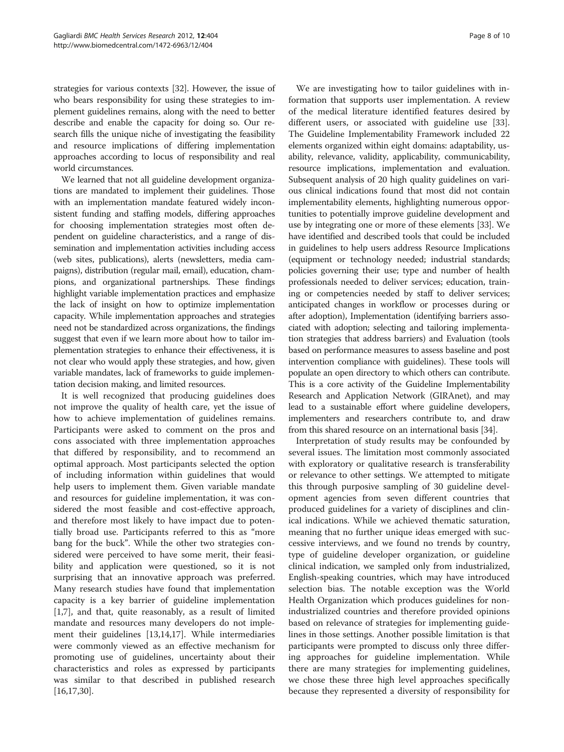strategies for various contexts [[32](#page-9-0)]. However, the issue of who bears responsibility for using these strategies to implement guidelines remains, along with the need to better describe and enable the capacity for doing so. Our research fills the unique niche of investigating the feasibility and resource implications of differing implementation approaches according to locus of responsibility and real world circumstances.

We learned that not all guideline development organizations are mandated to implement their guidelines. Those with an implementation mandate featured widely inconsistent funding and staffing models, differing approaches for choosing implementation strategies most often dependent on guideline characteristics, and a range of dissemination and implementation activities including access (web sites, publications), alerts (newsletters, media campaigns), distribution (regular mail, email), education, champions, and organizational partnerships. These findings highlight variable implementation practices and emphasize the lack of insight on how to optimize implementation capacity. While implementation approaches and strategies need not be standardized across organizations, the findings suggest that even if we learn more about how to tailor implementation strategies to enhance their effectiveness, it is not clear who would apply these strategies, and how, given variable mandates, lack of frameworks to guide implementation decision making, and limited resources.

It is well recognized that producing guidelines does not improve the quality of health care, yet the issue of how to achieve implementation of guidelines remains. Participants were asked to comment on the pros and cons associated with three implementation approaches that differed by responsibility, and to recommend an optimal approach. Most participants selected the option of including information within guidelines that would help users to implement them. Given variable mandate and resources for guideline implementation, it was considered the most feasible and cost-effective approach, and therefore most likely to have impact due to potentially broad use. Participants referred to this as "more bang for the buck". While the other two strategies considered were perceived to have some merit, their feasibility and application were questioned, so it is not surprising that an innovative approach was preferred. Many research studies have found that implementation capacity is a key barrier of guideline implementation [[1,7\]](#page-8-0), and that, quite reasonably, as a result of limited mandate and resources many developers do not implement their guidelines [\[13,14,17](#page-9-0)]. While intermediaries were commonly viewed as an effective mechanism for promoting use of guidelines, uncertainty about their characteristics and roles as expressed by participants was similar to that described in published research  $[16, 17, 30]$ .

We are investigating how to tailor guidelines with information that supports user implementation. A review of the medical literature identified features desired by different users, or associated with guideline use [\[33](#page-9-0)]. The Guideline Implementability Framework included 22 elements organized within eight domains: adaptability, usability, relevance, validity, applicability, communicability, resource implications, implementation and evaluation. Subsequent analysis of 20 high quality guidelines on various clinical indications found that most did not contain implementability elements, highlighting numerous opportunities to potentially improve guideline development and use by integrating one or more of these elements [[33](#page-9-0)]. We have identified and described tools that could be included in guidelines to help users address Resource Implications (equipment or technology needed; industrial standards; policies governing their use; type and number of health professionals needed to deliver services; education, training or competencies needed by staff to deliver services; anticipated changes in workflow or processes during or after adoption), Implementation (identifying barriers associated with adoption; selecting and tailoring implementation strategies that address barriers) and Evaluation (tools based on performance measures to assess baseline and post intervention compliance with guidelines). These tools will populate an open directory to which others can contribute. This is a core activity of the Guideline Implementability Research and Application Network (GIRAnet), and may lead to a sustainable effort where guideline developers, implementers and researchers contribute to, and draw from this shared resource on an international basis [\[34](#page-9-0)].

Interpretation of study results may be confounded by several issues. The limitation most commonly associated with exploratory or qualitative research is transferability or relevance to other settings. We attempted to mitigate this through purposive sampling of 30 guideline development agencies from seven different countries that produced guidelines for a variety of disciplines and clinical indications. While we achieved thematic saturation, meaning that no further unique ideas emerged with successive interviews, and we found no trends by country, type of guideline developer organization, or guideline clinical indication, we sampled only from industrialized, English-speaking countries, which may have introduced selection bias. The notable exception was the World Health Organization which produces guidelines for nonindustrialized countries and therefore provided opinions based on relevance of strategies for implementing guidelines in those settings. Another possible limitation is that participants were prompted to discuss only three differing approaches for guideline implementation. While there are many strategies for implementing guidelines, we chose these three high level approaches specifically because they represented a diversity of responsibility for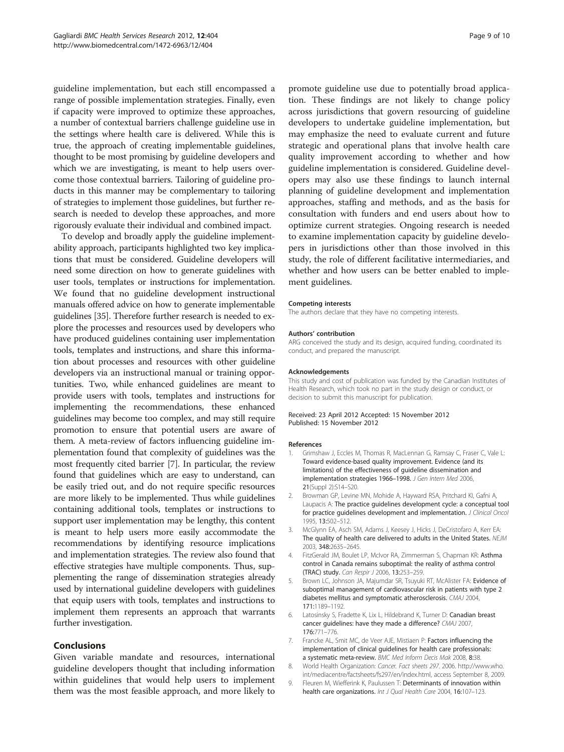<span id="page-8-0"></span>guideline implementation, but each still encompassed a range of possible implementation strategies. Finally, even if capacity were improved to optimize these approaches, a number of contextual barriers challenge guideline use in the settings where health care is delivered. While this is true, the approach of creating implementable guidelines, thought to be most promising by guideline developers and which we are investigating, is meant to help users overcome those contextual barriers. Tailoring of guideline products in this manner may be complementary to tailoring of strategies to implement those guidelines, but further research is needed to develop these approaches, and more rigorously evaluate their individual and combined impact.

To develop and broadly apply the guideline implementability approach, participants highlighted two key implications that must be considered. Guideline developers will need some direction on how to generate guidelines with user tools, templates or instructions for implementation. We found that no guideline development instructional manuals offered advice on how to generate implementable guidelines [\[35\]](#page-9-0). Therefore further research is needed to explore the processes and resources used by developers who have produced guidelines containing user implementation tools, templates and instructions, and share this information about processes and resources with other guideline developers via an instructional manual or training opportunities. Two, while enhanced guidelines are meant to provide users with tools, templates and instructions for implementing the recommendations, these enhanced guidelines may become too complex, and may still require promotion to ensure that potential users are aware of them. A meta-review of factors influencing guideline implementation found that complexity of guidelines was the most frequently cited barrier [7]. In particular, the review found that guidelines which are easy to understand, can be easily tried out, and do not require specific resources are more likely to be implemented. Thus while guidelines containing additional tools, templates or instructions to support user implementation may be lengthy, this content is meant to help users more easily accommodate the recommendations by identifying resource implications and implementation strategies. The review also found that effective strategies have multiple components. Thus, supplementing the range of dissemination strategies already used by international guideline developers with guidelines that equip users with tools, templates and instructions to implement them represents an approach that warrants further investigation.

#### **Conclusions**

Given variable mandate and resources, international guideline developers thought that including information within guidelines that would help users to implement them was the most feasible approach, and more likely to promote guideline use due to potentially broad application. These findings are not likely to change policy across jurisdictions that govern resourcing of guideline developers to undertake guideline implementation, but may emphasize the need to evaluate current and future strategic and operational plans that involve health care quality improvement according to whether and how guideline implementation is considered. Guideline developers may also use these findings to launch internal planning of guideline development and implementation approaches, staffing and methods, and as the basis for consultation with funders and end users about how to optimize current strategies. Ongoing research is needed to examine implementation capacity by guideline developers in jurisdictions other than those involved in this study, the role of different facilitative intermediaries, and whether and how users can be better enabled to implement guidelines.

#### Competing interests

The authors declare that they have no competing interests.

#### Authors' contribution

ARG conceived the study and its design, acquired funding, coordinated its conduct, and prepared the manuscript.

#### Acknowledgements

This study and cost of publication was funded by the Canadian Institutes of Health Research, which took no part in the study design or conduct, or decision to submit this manuscript for publication.

#### Received: 23 April 2012 Accepted: 15 November 2012 Published: 15 November 2012

#### References

- 1. Grimshaw J, Eccles M, Thomas R, MacLennan G, Ramsay C, Fraser C, Vale L: Toward evidence-based quality improvement. Evidence (and its limitations) of the effectiveness of guideline dissemination and implementation strategies 1966-1998. J Gen Intern Med 2006, 21(Suppl 2):S14–S20.
- 2. Browman GP, Levine MN, Mohide A, Hayward RSA, Pritchard KI, Gafni A, Laupacis A: The practice guidelines development cycle: a conceptual tool for practice guidelines development and implementation. J Clinical Oncol 1995, 13:502–512.
- 3. McGlynn EA, Asch SM, Adams J, Keesey J, Hicks J, DeCristofaro A, Kerr EA: The quality of health care delivered to adults in the United States. NEJM 2003, 348:2635–2645.
- FitzGerald JM, Boulet LP, McIvor RA, Zimmerman S, Chapman KR: Asthma control in Canada remains suboptimal: the reality of asthma control (TRAC) study. Can Respir J 2006, 13:253–259.
- 5. Brown LC, Johnson JA, Majumdar SR, Tsuyuki RT, McAlister FA: Evidence of suboptimal management of cardiovascular risk in patients with type 2 diabetes mellitus and symptomatic atherosclerosis. CMAJ 2004, 171:1189–1192.
- 6. Latosinsky S, Fradette K, Lix L, Hildebrand K, Turner D: Canadian breast cancer guidelines: have they made a difference? CMAJ 2007, 176:771–776.
- 7. Francke AL, Smit MC, de Veer AJE, Mistiaen P: Factors influencing the implementation of clinical guidelines for health care professionals: a systematic meta-review. BMC Med Inform Decis Mak 2008, 8:38.
- 8. World Health Organization: Cancer. Fact sheets 297. 2006. [http://www.who.](http://www.who.int/mediacentre/factsheets/fs297/en/index.html) [int/mediacentre/factsheets/fs297/en/index.html](http://www.who.int/mediacentre/factsheets/fs297/en/index.html), access September 8, 2009.
- 9. Fleuren M, Wiefferink K, Paulussen T: Determinants of innovation within health care organizations. Int J Qual Health Care 2004, 16:107-123.